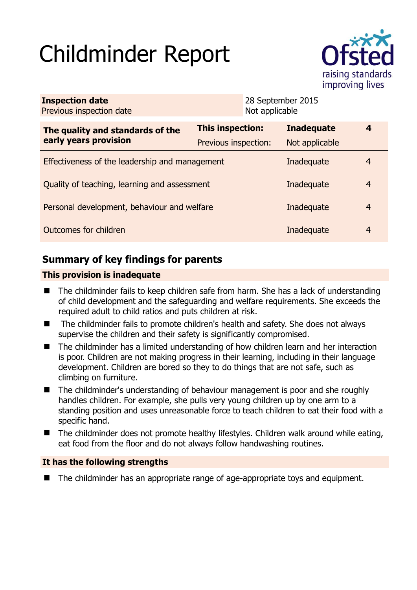# Childminder Report



| <b>Inspection date</b><br>Previous inspection date        | 28 September 2015<br>Not applicable             |                                     |                  |
|-----------------------------------------------------------|-------------------------------------------------|-------------------------------------|------------------|
| The quality and standards of the<br>early years provision | <b>This inspection:</b><br>Previous inspection: | <b>Inadequate</b><br>Not applicable | $\boldsymbol{4}$ |
| Effectiveness of the leadership and management            |                                                 | Inadequate                          | 4                |
| Quality of teaching, learning and assessment              |                                                 | Inadequate                          | $\overline{4}$   |
| Personal development, behaviour and welfare               |                                                 | Inadequate                          | $\overline{4}$   |
| Outcomes for children                                     |                                                 | Inadequate                          | $\overline{4}$   |

# **Summary of key findings for parents**

## **This provision is inadequate**

- The childminder fails to keep children safe from harm. She has a lack of understanding of child development and the safeguarding and welfare requirements. She exceeds the required adult to child ratios and puts children at risk.
- The childminder fails to promote children's health and safety. She does not always supervise the children and their safety is significantly compromised.
- The childminder has a limited understanding of how children learn and her interaction is poor. Children are not making progress in their learning, including in their language development. Children are bored so they to do things that are not safe, such as climbing on furniture.
- The childminder's understanding of behaviour management is poor and she roughly handles children. For example, she pulls very young children up by one arm to a standing position and uses unreasonable force to teach children to eat their food with a specific hand.
- The childminder does not promote healthy lifestyles. Children walk around while eating, eat food from the floor and do not always follow handwashing routines.

### **It has the following strengths**

■ The childminder has an appropriate range of age-appropriate toys and equipment.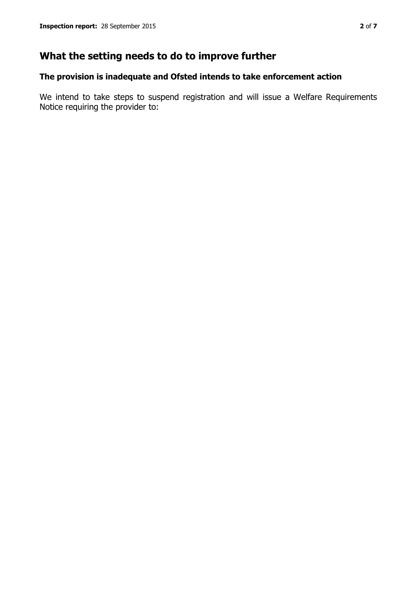# **What the setting needs to do to improve further**

#### **The provision is inadequate and Ofsted intends to take enforcement action**

We intend to take steps to suspend registration and will issue a Welfare Requirements Notice requiring the provider to: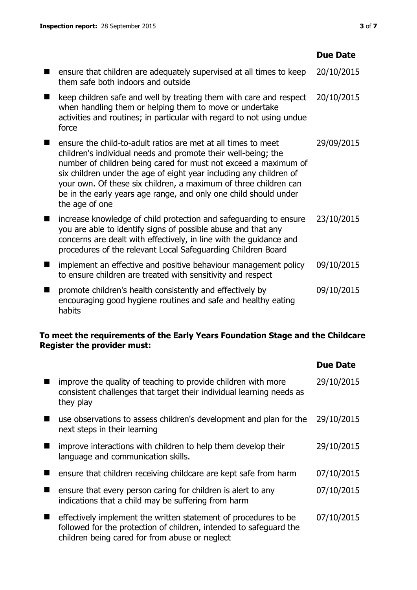|   |                                                                                                                                                                                                                                                                                                                                                                                                                                   | <b>Due Date</b> |
|---|-----------------------------------------------------------------------------------------------------------------------------------------------------------------------------------------------------------------------------------------------------------------------------------------------------------------------------------------------------------------------------------------------------------------------------------|-----------------|
|   | ensure that children are adequately supervised at all times to keep<br>them safe both indoors and outside                                                                                                                                                                                                                                                                                                                         | 20/10/2015      |
|   | keep children safe and well by treating them with care and respect<br>when handling them or helping them to move or undertake<br>activities and routines; in particular with regard to not using undue<br>force                                                                                                                                                                                                                   | 20/10/2015      |
|   | ensure the child-to-adult ratios are met at all times to meet<br>children's individual needs and promote their well-being; the<br>number of children being cared for must not exceed a maximum of<br>six children under the age of eight year including any children of<br>your own. Of these six children, a maximum of three children can<br>be in the early years age range, and only one child should under<br>the age of one | 29/09/2015      |
| ■ | increase knowledge of child protection and safeguarding to ensure<br>you are able to identify signs of possible abuse and that any<br>concerns are dealt with effectively, in line with the guidance and<br>procedures of the relevant Local Safeguarding Children Board                                                                                                                                                          | 23/10/2015      |
|   | implement an effective and positive behaviour management policy<br>to ensure children are treated with sensitivity and respect                                                                                                                                                                                                                                                                                                    | 09/10/2015      |
| ш | promote children's health consistently and effectively by<br>encouraging good hygiene routines and safe and healthy eating<br>habits                                                                                                                                                                                                                                                                                              | 09/10/2015      |

## **To meet the requirements of the Early Years Foundation Stage and the Childcare Register the provider must:**

|                                                                                                                                                                                         | <b>Due Date</b> |
|-----------------------------------------------------------------------------------------------------------------------------------------------------------------------------------------|-----------------|
| improve the quality of teaching to provide children with more<br>consistent challenges that target their individual learning needs as<br>they play                                      | 29/10/2015      |
| use observations to assess children's development and plan for the<br>next steps in their learning                                                                                      | 29/10/2015      |
| improve interactions with children to help them develop their<br>language and communication skills.                                                                                     | 29/10/2015      |
| ensure that children receiving childcare are kept safe from harm                                                                                                                        | 07/10/2015      |
| ensure that every person caring for children is alert to any<br>indications that a child may be suffering from harm                                                                     | 07/10/2015      |
| effectively implement the written statement of procedures to be<br>followed for the protection of children, intended to safeguard the<br>children being cared for from abuse or neglect | 07/10/2015      |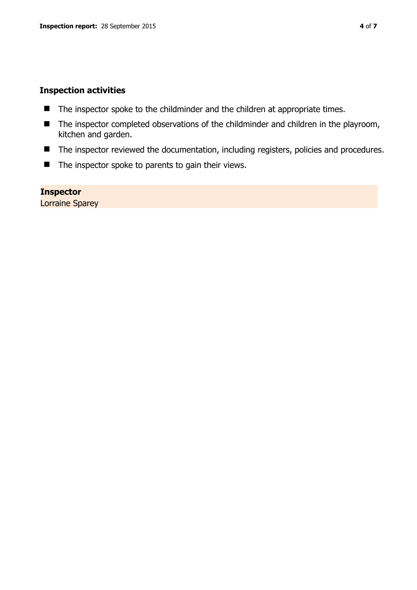## **Inspection activities**

- The inspector spoke to the childminder and the children at appropriate times.
- The inspector completed observations of the childminder and children in the playroom, kitchen and garden.
- The inspector reviewed the documentation, including registers, policies and procedures.
- The inspector spoke to parents to gain their views.

# **Inspector**

Lorraine Sparey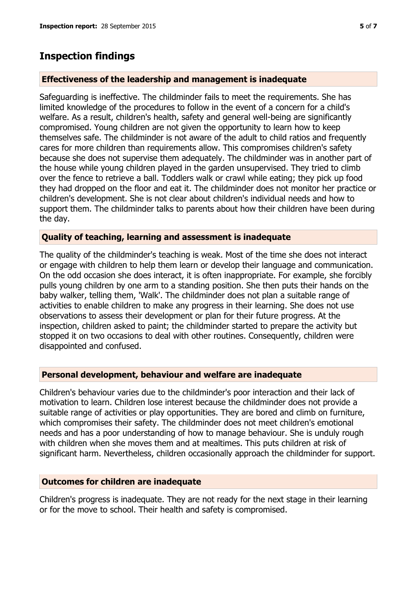## **Inspection findings**

#### **Effectiveness of the leadership and management is inadequate**

Safeguarding is ineffective. The childminder fails to meet the requirements. She has limited knowledge of the procedures to follow in the event of a concern for a child's welfare. As a result, children's health, safety and general well-being are significantly compromised. Young children are not given the opportunity to learn how to keep themselves safe. The childminder is not aware of the adult to child ratios and frequently cares for more children than requirements allow. This compromises children's safety because she does not supervise them adequately. The childminder was in another part of the house while young children played in the garden unsupervised. They tried to climb over the fence to retrieve a ball. Toddlers walk or crawl while eating; they pick up food they had dropped on the floor and eat it. The childminder does not monitor her practice or children's development. She is not clear about children's individual needs and how to support them. The childminder talks to parents about how their children have been during the day.

#### **Quality of teaching, learning and assessment is inadequate**

The quality of the childminder's teaching is weak. Most of the time she does not interact or engage with children to help them learn or develop their language and communication. On the odd occasion she does interact, it is often inappropriate. For example, she forcibly pulls young children by one arm to a standing position. She then puts their hands on the baby walker, telling them, 'Walk'. The childminder does not plan a suitable range of activities to enable children to make any progress in their learning. She does not use observations to assess their development or plan for their future progress. At the inspection, children asked to paint; the childminder started to prepare the activity but stopped it on two occasions to deal with other routines. Consequently, children were disappointed and confused.

#### **Personal development, behaviour and welfare are inadequate**

Children's behaviour varies due to the childminder's poor interaction and their lack of motivation to learn. Children lose interest because the childminder does not provide a suitable range of activities or play opportunities. They are bored and climb on furniture, which compromises their safety. The childminder does not meet children's emotional needs and has a poor understanding of how to manage behaviour. She is unduly rough with children when she moves them and at mealtimes. This puts children at risk of significant harm. Nevertheless, children occasionally approach the childminder for support.

#### **Outcomes for children are inadequate**

Children's progress is inadequate. They are not ready for the next stage in their learning or for the move to school. Their health and safety is compromised.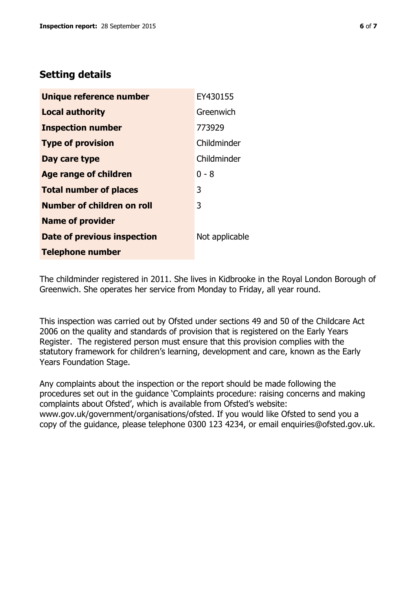# **Setting details**

| Unique reference number       | EY430155       |
|-------------------------------|----------------|
| <b>Local authority</b>        | Greenwich      |
| <b>Inspection number</b>      | 773929         |
| <b>Type of provision</b>      | Childminder    |
| Day care type                 | Childminder    |
| <b>Age range of children</b>  | $0 - 8$        |
| <b>Total number of places</b> | 3              |
| Number of children on roll    | 3              |
| <b>Name of provider</b>       |                |
| Date of previous inspection   | Not applicable |
| <b>Telephone number</b>       |                |

The childminder registered in 2011. She lives in Kidbrooke in the Royal London Borough of Greenwich. She operates her service from Monday to Friday, all year round.

This inspection was carried out by Ofsted under sections 49 and 50 of the Childcare Act 2006 on the quality and standards of provision that is registered on the Early Years Register. The registered person must ensure that this provision complies with the statutory framework for children's learning, development and care, known as the Early Years Foundation Stage.

Any complaints about the inspection or the report should be made following the procedures set out in the guidance 'Complaints procedure: raising concerns and making complaints about Ofsted', which is available from Ofsted's website: www.gov.uk/government/organisations/ofsted. If you would like Ofsted to send you a copy of the guidance, please telephone 0300 123 4234, or email enquiries@ofsted.gov.uk.